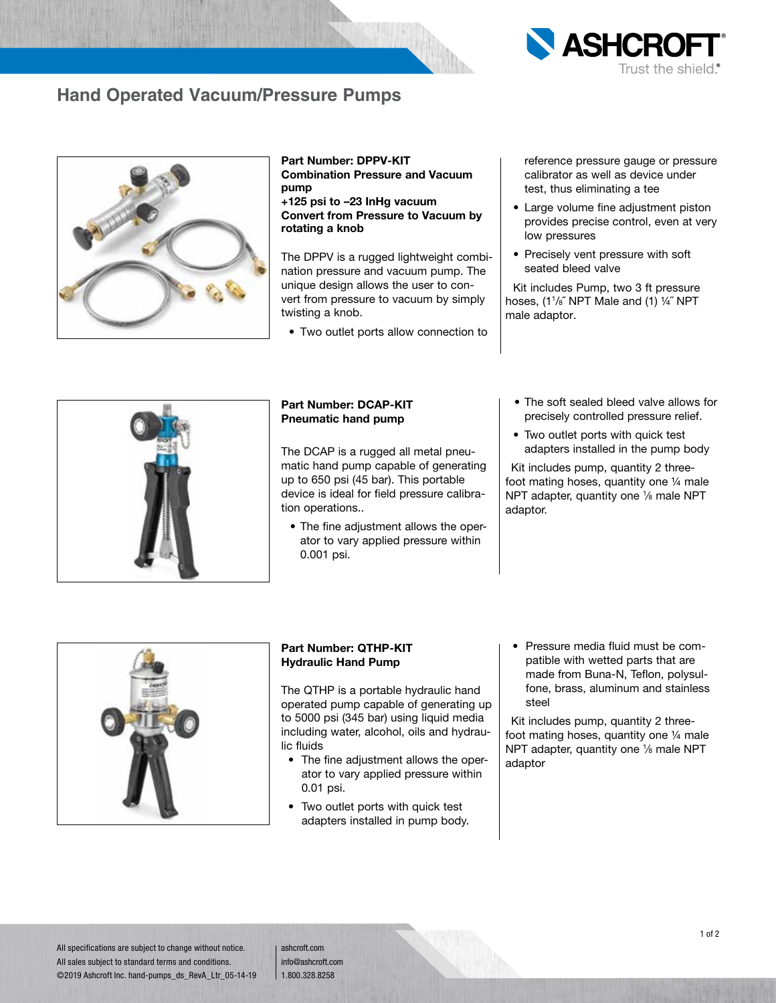

ashcroft.com info@ashcroft.com 1.800.328.8258

lic fluids

0.01 psi.

# 1 of 2

### **Hand Operated Vacuum/Pressure Pumps**



Part Number: DPPV-KIT Combination Pressure and Vacuum pump

+125 psi to –23 InHg vacuum Convert from Pressure to Vacuum by rotating a knob

The DPPV is a rugged lightweight combination pressure and vacuum pump. The unique design allows the user to convert from pressure to vacuum by simply twisting a knob.

• Two outlet ports allow connection to

reference pressure gauge or pressure calibrator as well as device under test, thus eliminating a tee

**ASHCR** 

- Large volume fine adjustment piston provides precise control, even at very low pressures
- Precisely vent pressure with soft seated bleed valve

Kit includes Pump, two 3 ft pressure hoses, (11 /8˝ NPT Male and (1) ¼˝ NPT male adaptor.

#### Part Number: DCAP-KIT Pneumatic hand pump

The DCAP is a rugged all metal pneumatic hand pump capable of generating up to 650 psi (45 bar). This portable device is ideal for field pressure calibration operations..

• The fine adjustment allows the operator to vary applied pressure within 0.001 psi.

including water, alcohol, oils and hydrau-

• The fine adjustment allows the operator to vary applied pressure within

• Two outlet ports with quick test adapters installed in pump body.

- The soft sealed bleed valve allows for precisely controlled pressure relief.
- Two outlet ports with quick test adapters installed in the pump body

Kit includes pump, quantity 2 threefoot mating hoses, quantity one ¼ male NPT adapter, quantity one 1/8 male NPT adaptor.



fone, brass, aluminum and stainless steel Kit includes pump, quantity 2 three-

foot mating hoses, quantity one ¼ male NPT adapter, quantity one 1/8 male NPT adaptor